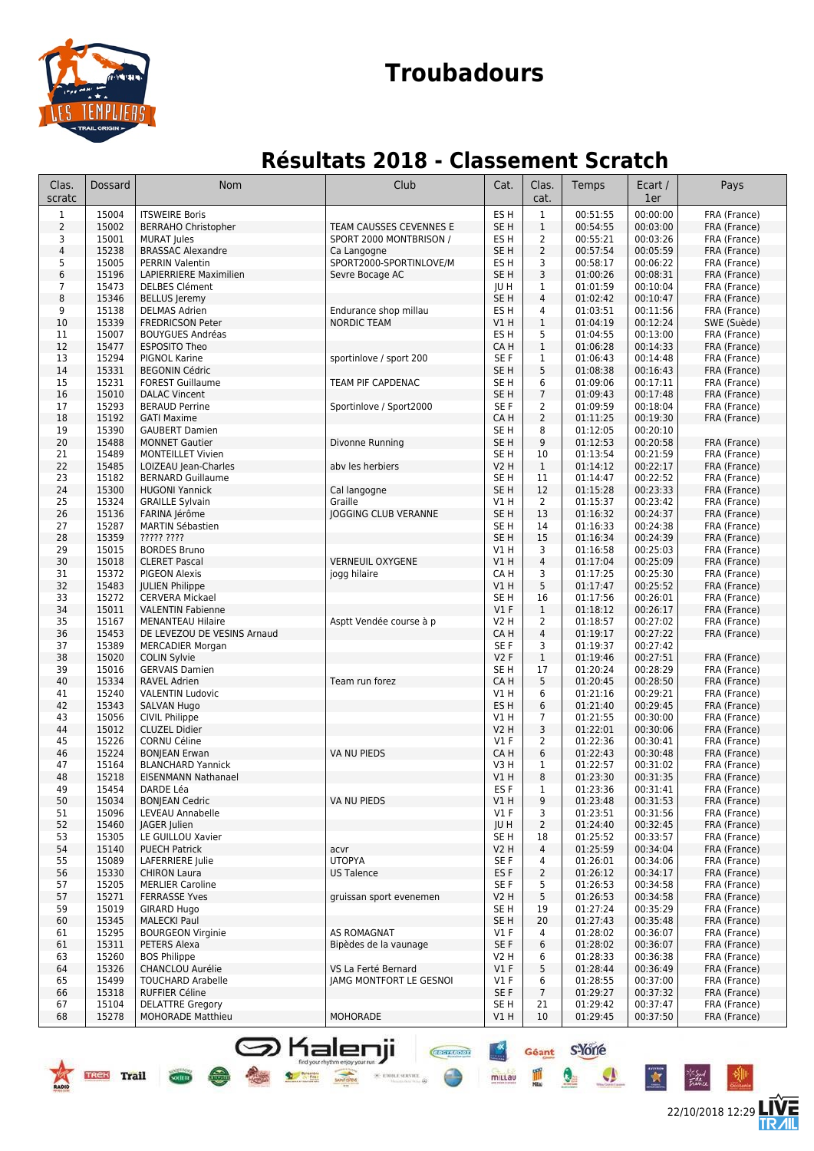

## **Troubadours**

### **Résultats 2018 - Classement Scratch**

| Clas.<br>scratc | <b>Dossard</b> | Nom                                                    | Club                    | Cat.                               | Clas.<br>cat.       | Temps                | Ecart /<br>1er       | Pays                         |
|-----------------|----------------|--------------------------------------------------------|-------------------------|------------------------------------|---------------------|----------------------|----------------------|------------------------------|
| $\mathbf{1}$    | 15004          | <b>ITSWEIRE Boris</b>                                  |                         | ES <sub>H</sub>                    | $1\,$               | 00:51:55             | 00:00:00             | FRA (France)                 |
| $\overline{2}$  | 15002          | <b>BERRAHO Christopher</b>                             | TEAM CAUSSES CEVENNES E | SE <sub>H</sub>                    | $1\,$               | 00:54:55             | 00:03:00             | FRA (France)                 |
| 3               | 15001          | <b>MURAT Jules</b>                                     | SPORT 2000 MONTBRISON / | ES H                               | 2                   | 00:55:21             | 00:03:26             | FRA (France)                 |
| $\sqrt{4}$      | 15238          | <b>BRASSAC Alexandre</b>                               | Ca Langogne             | SE <sub>H</sub>                    | $\overline{2}$      | 00:57:54             | 00:05:59             | FRA (France)                 |
| 5               | 15005          | <b>PERRIN Valentin</b>                                 | SPORT2000-SPORTINLOVE/M | ES <sub>H</sub>                    | 3                   | 00:58:17             | 00:06:22             | FRA (France)                 |
| 6               | 15196          | <b>LAPIERRIERE Maximilien</b>                          | Sevre Bocage AC         | SE <sub>H</sub>                    | 3                   | 01:00:26             | 00:08:31             | FRA (France)                 |
| $\overline{7}$  | 15473          | <b>DELBES Clément</b>                                  |                         | <b>JUH</b>                         | 1<br>$\overline{4}$ | 01:01:59             | 00:10:04             | FRA (France)                 |
| 8<br>9          | 15346<br>15138 | <b>BELLUS Jeremy</b><br><b>DELMAS Adrien</b>           | Endurance shop millau   | SE <sub>H</sub><br>ES <sub>H</sub> | $\overline{4}$      | 01:02:42<br>01:03:51 | 00:10:47<br>00:11:56 | FRA (France)<br>FRA (France) |
| 10              | 15339          | <b>FREDRICSON Peter</b>                                | <b>NORDIC TEAM</b>      | VIH                                | $\mathbf{1}$        | 01:04:19             | 00:12:24             | SWE (Suède)                  |
| 11              | 15007          | <b>BOUYGUES Andréas</b>                                |                         | ES <sub>H</sub>                    | 5                   | 01:04:55             | 00:13:00             | FRA (France)                 |
| 12              | 15477          | <b>ESPOSITO Theo</b>                                   |                         | CA H                               | $\mathbf{1}$        | 01:06:28             | 00:14:33             | FRA (France)                 |
| 13              | 15294          | PIGNOL Karine                                          | sportinlove / sport 200 | SE F                               | 1                   | 01:06:43             | 00:14:48             | FRA (France)                 |
| 14              | 15331          | <b>BEGONIN Cédric</b>                                  |                         | SE <sub>H</sub>                    | 5                   | 01:08:38             | 00:16:43             | FRA (France)                 |
| 15              | 15231          | <b>FOREST Guillaume</b>                                | TEAM PIF CAPDENAC       | SE H                               | 6                   | 01:09:06             | 00:17:11             | FRA (France)                 |
| 16              | 15010          | <b>DALAC Vincent</b>                                   |                         | SE <sub>H</sub>                    | $\overline{7}$      | 01:09:43             | 00:17:48             | FRA (France)                 |
| 17              | 15293          | <b>BERAUD Perrine</b>                                  | Sportinlove / Sport2000 | SE F                               | 2                   | 01:09:59             | 00:18:04             | FRA (France)<br>FRA (France) |
| 18<br>19        | 15192<br>15390 | <b>GATI Maxime</b><br><b>GAUBERT Damien</b>            |                         | CA H<br>SE <sub>H</sub>            | 2<br>8              | 01:11:25<br>01:12:05 | 00:19:30<br>00:20:10 |                              |
| 20              | 15488          | <b>MONNET Gautier</b>                                  | Divonne Running         | SE <sub>H</sub>                    | 9                   | 01:12:53             | 00:20:58             | FRA (France)                 |
| 21              | 15489          | <b>MONTEILLET Vivien</b>                               |                         | SE <sub>H</sub>                    | 10                  | 01:13:54             | 00:21:59             | FRA (France)                 |
| 22              | 15485          | LOIZEAU Jean-Charles                                   | aby les herbiers        | <b>V2 H</b>                        | $\mathbf{1}$        | 01:14:12             | 00:22:17             | FRA (France)                 |
| 23              | 15182          | <b>BERNARD Guillaume</b>                               |                         | SE <sub>H</sub>                    | 11                  | 01:14:47             | 00:22:52             | FRA (France)                 |
| 24              | 15300          | <b>HUGONI Yannick</b>                                  | Cal langogne            | SE <sub>H</sub>                    | 12                  | 01:15:28             | 00:23:33             | FRA (France)                 |
| 25              | 15324          | <b>GRAILLE Sylvain</b>                                 | Graille                 | V1 H                               | 2                   | 01:15:37             | 00:23:42             | FRA (France)                 |
| 26              | 15136          | FARINA Jérôme                                          | JOGGING CLUB VERANNE    | SE <sub>H</sub>                    | 13                  | 01:16:32             | 00:24:37             | FRA (France)                 |
| 27              | 15287          | <b>MARTIN Sébastien</b>                                |                         | SE <sub>H</sub>                    | 14                  | 01:16:33             | 00:24:38             | FRA (France)                 |
| 28              | 15359          | ????? ????                                             |                         | SE <sub>H</sub>                    | 15                  | 01:16:34             | 00:24:39             | FRA (France)                 |
| 29<br>30        | 15015<br>15018 | <b>BORDES Bruno</b><br><b>CLERET Pascal</b>            | <b>VERNEUIL OXYGENE</b> | V1 H<br>V1 H                       | 3<br>4              | 01:16:58<br>01:17:04 | 00:25:03<br>00:25:09 | FRA (France)<br>FRA (France) |
| 31              | 15372          | <b>PIGEON Alexis</b>                                   | jogg hilaire            | CA H                               | 3                   | 01:17:25             | 00:25:30             | FRA (France)                 |
| 32              | 15483          | <b>JULIEN Philippe</b>                                 |                         | V1 H                               | 5                   | 01:17:47             | 00:25:52             | FRA (France)                 |
| 33              | 15272          | <b>CERVERA Mickael</b>                                 |                         | SE <sub>H</sub>                    | 16                  | 01:17:56             | 00:26:01             | FRA (France)                 |
| 34              | 15011          | <b>VALENTIN Fabienne</b>                               |                         | $VI$ F                             | $\mathbf{1}$        | 01:18:12             | 00:26:17             | FRA (France)                 |
| 35              | 15167          | <b>MENANTEAU Hilaire</b>                               | Asptt Vendée course à p | V2 H                               | $\overline{2}$      | 01:18:57             | 00:27:02             | FRA (France)                 |
| 36              | 15453          | DE LEVEZOU DE VESINS Arnaud                            |                         | CA H                               | $\overline{4}$      | 01:19:17             | 00:27:22             | FRA (France)                 |
| 37              | 15389          | <b>MERCADIER Morgan</b>                                |                         | SE F                               | 3                   | 01:19:37             | 00:27:42             |                              |
| 38<br>39        | 15020<br>15016 | <b>COLIN Sylvie</b><br><b>GERVAIS Damien</b>           |                         | V2F<br>SE H                        | $\mathbf{1}$<br>17  | 01:19:46<br>01:20:24 | 00:27:51<br>00:28:29 | FRA (France)<br>FRA (France) |
| 40              | 15334          | <b>RAVEL Adrien</b>                                    | Team run forez          | CA H                               | 5                   | 01:20:45             | 00:28:50             | FRA (France)                 |
| 41              | 15240          | <b>VALENTIN Ludovic</b>                                |                         | V1 H                               | 6                   | 01:21:16             | 00:29:21             | FRA (France)                 |
| 42              | 15343          | <b>SALVAN Hugo</b>                                     |                         | ES <sub>H</sub>                    | 6                   | 01:21:40             | 00:29:45             | FRA (France)                 |
| 43              | 15056          | <b>CIVIL Philippe</b>                                  |                         | V1 H                               | $\overline{7}$      | 01:21:55             | 00:30:00             | FRA (France)                 |
| 44              | 15012          | <b>CLUZEL Didier</b>                                   |                         | V2 H                               | 3                   | 01:22:01             | 00:30:06             | FRA (France)                 |
| 45              | 15226          | <b>CORNU Céline</b>                                    |                         | $VI$ F                             | 2                   | 01:22:36             | 00:30:41             | FRA (France)                 |
| 46              | 15224          | <b>BONJEAN Erwan</b>                                   | VA NU PIEDS             | CA H                               | 6                   | 01:22:43             | 00:30:48             | FRA (France)                 |
| 47<br>48        | 15164<br>15218 | <b>BLANCHARD Yannick</b><br><b>EISENMANN Nathanael</b> |                         | V3 H<br>VIH                        | 1<br>8              | 01:22:57<br>01:23:30 | 00:31:02<br>00:31:35 | FRA (France)                 |
| 49              | 15454          | DARDE Léa                                              |                         | ES <sub>F</sub>                    | $\mathbf{1}$        | 01:23:36             | 00:31:41             | FRA (France)<br>FRA (France) |
| 50              | 15034          | <b>BONJEAN Cedric</b>                                  | VA NU PIEDS             | V1 H                               | 9                   | 01:23:48             | 00:31:53             | FRA (France)                 |
| 51              | 15096          | LEVEAU Annabelle                                       |                         | $VI$ F                             | 3                   | 01:23:51             | 00:31:56             | FRA (France)                 |
| 52              | 15460          | <b>JAGER Julien</b>                                    |                         | JU H                               | $\overline{2}$      | 01:24:40             | 00:32:45             | FRA (France)                 |
| 53              | 15305          | LE GUILLOU Xavier                                      |                         | SE H                               | 18                  | 01:25:52             | 00:33:57             | FRA (France)                 |
| 54              | 15140          | <b>PUECH Patrick</b>                                   | acvr                    | V2 H                               | $\overline{4}$      | 01:25:59             | 00:34:04             | FRA (France)                 |
| 55              | 15089          | LAFERRIERE Julie                                       | <b>UTOPYA</b>           | SE F                               | 4                   | 01:26:01             | 00:34:06             | FRA (France)                 |
| 56              | 15330          | <b>CHIRON Laura</b>                                    | US Talence              | ES <sub>F</sub>                    | $\overline{2}$      | 01:26:12             | 00:34:17             | FRA (France)                 |
| 57<br>57        | 15205<br>15271 | <b>MERLIER Caroline</b><br><b>FERRASSE Yves</b>        |                         | SE F<br>V2 H                       | 5<br>5              | 01:26:53<br>01:26:53 | 00:34:58<br>00:34:58 | FRA (France)<br>FRA (France) |
| 59              | 15019          | <b>GIRARD Hugo</b>                                     | gruissan sport evenemen | SE H                               | 19                  | 01:27:24             | 00:35:29             | FRA (France)                 |
| 60              | 15345          | <b>MALECKI Paul</b>                                    |                         | SE <sub>H</sub>                    | 20                  | 01:27:43             | 00:35:48             | FRA (France)                 |
| 61              | 15295          | <b>BOURGEON Virginie</b>                               | AS ROMAGNAT             | $VI$ F                             | 4                   | 01:28:02             | 00:36:07             | FRA (France)                 |
| 61              | 15311          | PETERS Alexa                                           | Bipèdes de la vaunage   | SE F                               | 6                   | 01:28:02             | 00:36:07             | FRA (France)                 |
| 63              | 15260          | <b>BOS Philippe</b>                                    |                         | V2 H                               | 6                   | 01:28:33             | 00:36:38             | FRA (France)                 |
| 64              | 15326          | CHANCLOU Aurélie                                       | VS La Ferté Bernard     | V1 F                               | 5                   | 01:28:44             | 00:36:49             | FRA (France)                 |
| 65              | 15499          | <b>TOUCHARD Arabelle</b>                               | JAMG MONTFORT LE GESNOI | V1 F                               | 6                   | 01:28:55             | 00:37:00             | FRA (France)                 |
| 66              | 15318          | <b>RUFFIER Céline</b>                                  |                         | SE F                               | $\overline{7}$      | 01:29:27             | 00:37:32             | FRA (France)                 |
| 67<br>68        | 15104<br>15278 | <b>DELATTRE Gregory</b><br><b>MOHORADE Matthieu</b>    | MOHORADE                | SE <sub>H</sub><br>V1 H            | 21<br>10            | 01:29:42<br>01:29:45 | 00:37:47<br>00:37:50 | FRA (France)<br>FRA (France) |
|                 |                |                                                        |                         |                                    |                     |                      |                      |                              |

Geant S-Yorle

millau

 $\bullet$ 

 $\overline{\mathbf{x}}$ 

**S** Kalenji

TREK Trail Com

Find your rhythm enjoy your run.

22/10/2018 12:29

后

不知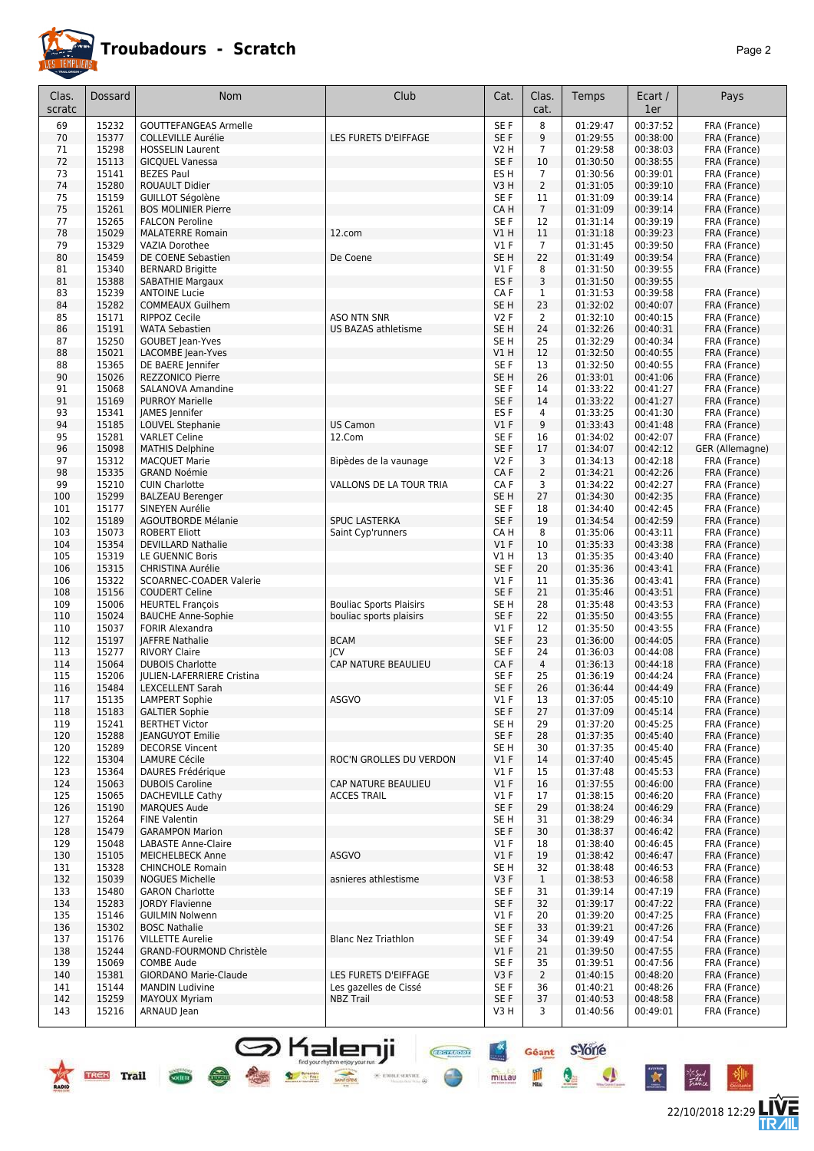

#### **Troubadours - Scratch** *Page 2*

22/10/2018 12:29 **LIVE** 

Géant S'Yorre

 $\bullet$ 

 $\bullet$ 

 $\ddot{\ast}$ 

Pã.

皿

mittau

**CHAPTERS** 

 $\times$  erone server  $\phi$ 

| Clas.<br>scratc | Dossard        | Nom                                                    | Club                                      | Cat.                      | Clas.<br>cat.                     | Temps                | Ecart /<br>1er       | Pays                         |
|-----------------|----------------|--------------------------------------------------------|-------------------------------------------|---------------------------|-----------------------------------|----------------------|----------------------|------------------------------|
| 69              | 15232          | <b>GOUTTEFANGEAS Armelle</b>                           |                                           | SE F                      | 8                                 | 01:29:47             | 00:37:52             | FRA (France)                 |
| 70              | 15377          | <b>COLLEVILLE Aurélie</b>                              | LES FURETS D'EIFFAGE                      | SE F                      | 9                                 | 01:29:55             | 00:38:00             | FRA (France)                 |
| 71              | 15298          | <b>HOSSELIN Laurent</b>                                |                                           | V2 H                      | $\overline{7}$                    | 01:29:58             | 00:38:03             | FRA (France)                 |
| 72              | 15113          | <b>GICQUEL Vanessa</b>                                 |                                           | SE F                      | 10                                | 01:30:50             | 00:38:55             | FRA (France)                 |
| 73<br>74        | 15141<br>15280 | <b>BEZES Paul</b>                                      |                                           | ES <sub>H</sub><br>V3H    | $7\overline{ }$<br>$\overline{2}$ | 01:30:56             | 00:39:01<br>00:39:10 | FRA (France)                 |
| 75              | 15159          | ROUAULT Didier<br>GUILLOT Ségolène                     |                                           | SE F                      | 11                                | 01:31:05<br>01:31:09 | 00:39:14             | FRA (France)<br>FRA (France) |
| 75              | 15261          | <b>BOS MOLINIER Pierre</b>                             |                                           | CA H                      | $\overline{7}$                    | 01:31:09             | 00:39:14             | FRA (France)                 |
| 77              | 15265          | <b>FALCON Peroline</b>                                 |                                           | SE F                      | 12                                | 01:31:14             | 00:39:19             | FRA (France)                 |
| 78              | 15029          | <b>MALATERRE Romain</b>                                | 12.com                                    | V1 H                      | 11                                | 01:31:18             | 00:39:23             | FRA (France)                 |
| 79              | 15329          | VAZIA Dorothee                                         |                                           | $VI$ F                    | $\overline{7}$                    | 01:31:45             | 00:39:50             | FRA (France)                 |
| 80              | 15459          | DE COENE Sebastien                                     | De Coene                                  | SE <sub>H</sub>           | 22                                | 01:31:49             | 00:39:54             | FRA (France)                 |
| 81<br>81        | 15340<br>15388 | <b>BERNARD Brigitte</b><br><b>SABATHIE Margaux</b>     |                                           | V1 F<br>ES <sub>F</sub>   | 8<br>3                            | 01:31:50<br>01:31:50 | 00:39:55<br>00:39:55 | FRA (France)                 |
| 83              | 15239          | <b>ANTOINE Lucie</b>                                   |                                           | CA F                      | $\mathbf{1}$                      | 01:31:53             | 00:39:58             | FRA (France)                 |
| 84              | 15282          | <b>COMMEAUX Guilhem</b>                                |                                           | SE H                      | 23                                | 01:32:02             | 00:40:07             | FRA (France)                 |
| 85              | 15171          | <b>RIPPOZ Cecile</b>                                   | <b>ASO NTN SNR</b>                        | V2F                       | $\overline{2}$                    | 01:32:10             | 00:40:15             | FRA (France)                 |
| 86              | 15191          | <b>WATA Sebastien</b>                                  | US BAZAS athletisme                       | SE <sub>H</sub>           | 24                                | 01:32:26             | 00:40:31             | FRA (France)                 |
| 87              | 15250          | <b>GOUBET Jean-Yves</b>                                |                                           | SE <sub>H</sub>           | 25                                | 01:32:29             | 00:40:34             | FRA (France)                 |
| 88              | 15021          | LACOMBE Jean-Yves                                      |                                           | V1 H                      | 12                                | 01:32:50             | 00:40:55             | FRA (France)                 |
| 88              | 15365          | DE BAERE Jennifer                                      |                                           | SE F                      | 13                                | 01:32:50             | 00:40:55             | FRA (France)                 |
| 90<br>91        | 15026<br>15068 | <b>REZZONICO Pierre</b><br>SALANOVA Amandine           |                                           | SE <sub>H</sub><br>SE F   | 26<br>14                          | 01:33:01<br>01:33:22 | 00:41:06<br>00:41:27 | FRA (France)<br>FRA (France) |
| 91              | 15169          | <b>PURROY Marielle</b>                                 |                                           | SE F                      | 14                                | 01:33:22             | 00:41:27             | FRA (France)                 |
| 93              | 15341          | JAMES Jennifer                                         |                                           | ES F                      | $\overline{4}$                    | 01:33:25             | 00:41:30             | FRA (France)                 |
| 94              | 15185          | LOUVEL Stephanie                                       | <b>US Camon</b>                           | $VI$ F                    | 9                                 | 01:33:43             | 00:41:48             | FRA (France)                 |
| 95              | 15281          | <b>VARLET Celine</b>                                   | 12.Com                                    | SE F                      | 16                                | 01:34:02             | 00:42:07             | FRA (France)                 |
| 96              | 15098          | <b>MATHIS Delphine</b>                                 |                                           | SE F                      | 17                                | 01:34:07             | 00:42:12             | GER (Allemagne)              |
| 97              | 15312          | <b>MACQUET Marie</b>                                   | Bipèdes de la vaunage                     | V2 F                      | 3                                 | 01:34:13             | 00:42:18             | FRA (France)                 |
| 98              | 15335          | <b>GRAND Noémie</b>                                    |                                           | CAF                       | $\overline{2}$                    | 01:34:21             | 00:42:26             | FRA (France)                 |
| 99              | 15210          | <b>CUIN Charlotte</b>                                  | VALLONS DE LA TOUR TRIA                   | CA F                      | 3                                 | 01:34:22             | 00:42:27             | FRA (France)                 |
| 100             | 15299          | <b>BALZEAU Berenger</b>                                |                                           | SE <sub>H</sub>           | 27                                | 01:34:30             | 00:42:35             | FRA (France)                 |
| 101<br>102      | 15177<br>15189 | SINEYEN Aurélie<br><b>AGOUTBORDE Mélanie</b>           | <b>SPUC LASTERKA</b>                      | SE <sub>F</sub><br>SE F   | 18<br>19                          | 01:34:40<br>01:34:54 | 00:42:45<br>00:42:59 | FRA (France)<br>FRA (France) |
| 103             | 15073          | <b>ROBERT Eliott</b>                                   | Saint Cyp'runners                         | CA H                      | 8                                 | 01:35:06             | 00:43:11             | FRA (France)                 |
| 104             | 15354          | <b>DEVILLARD Nathalie</b>                              |                                           | $VI$ F                    | 10                                | 01:35:33             | 00:43:38             | FRA (France)                 |
| 105             | 15319          | LE GUENNIC Boris                                       |                                           | V1 H                      | 13                                | 01:35:35             | 00:43:40             | FRA (France)                 |
| 106             | 15315          | <b>CHRISTINA Aurélie</b>                               |                                           | SE F                      | 20                                | 01:35:36             | 00:43:41             | FRA (France)                 |
| 106             | 15322          | SCOARNEC-COADER Valerie                                |                                           | V1 F                      | 11                                | 01:35:36             | 00:43:41             | FRA (France)                 |
| 108             | 15156          | <b>COUDERT Celine</b>                                  |                                           | SE F                      | 21                                | 01:35:46             | 00:43:51             | FRA (France)                 |
| 109             | 15006          | <b>HEURTEL François</b>                                | <b>Bouliac Sports Plaisirs</b>            | SE H                      | 28                                | 01:35:48             | 00:43:53             | FRA (France)                 |
| 110             | 15024          | <b>BAUCHE Anne-Sophie</b>                              | bouliac sports plaisirs                   | SE F                      | 22                                | 01:35:50<br>01:35:50 | 00:43:55             | FRA (France)                 |
| 110<br>112      | 15037<br>15197 | <b>FORIR Alexandra</b><br>JAFFRE Nathalie              | <b>BCAM</b>                               | $VI$ F<br>SE <sub>F</sub> | 12<br>23                          | 01:36:00             | 00:43:55<br>00:44:05 | FRA (France)<br>FRA (France) |
| 113             | 15277          | <b>RIVORY Claire</b>                                   | ICV                                       | SE F                      | 24                                | 01:36:03             | 00:44:08             | FRA (France)                 |
| 114             | 15064          | <b>DUBOIS Charlotte</b>                                | CAP NATURE BEAULIEU                       | CAF                       | $\overline{4}$                    | 01:36:13             | 00:44:18             | FRA (France)                 |
| 115             | 15206          | <b>IULIEN-LAFERRIERE Cristina</b>                      |                                           | SE F                      | 25                                | 01:36:19             | 00:44:24             | FRA (France)                 |
| 116             | 15484          | <b>LEXCELLENT Sarah</b>                                |                                           | SE F                      | 26                                | 01:36:44             | 00:44:49             | FRA (France)                 |
| 117             | 15135          | <b>LAMPERT Sophie</b>                                  | ASGVO                                     | $VI$ F                    | 13                                | 01:37:05             | 00:45:10             | FRA (France)                 |
| 118             | 15183          | <b>GALTIER Sophie</b>                                  |                                           | SE F                      | 27                                | 01:37:09             | 00:45:14             | FRA (France)                 |
| 119             | 15241          | <b>BERTHET Victor</b>                                  |                                           | SE H                      | 29                                | 01:37:20             | 00:45:25             | FRA (France)                 |
| 120             | 15288<br>15289 | <b>IEANGUYOT Emilie</b><br><b>DECORSE Vincent</b>      |                                           | SE F                      | 28                                | 01:37:35             | 00:45:40             | FRA (France)                 |
| 120<br>122      | 15304          | <b>LAMURE Cécile</b>                                   | ROC'N GROLLES DU VERDON                   | SE H<br>V1F               | 30<br>14                          | 01:37:35<br>01:37:40 | 00:45:40<br>00:45:45 | FRA (France)<br>FRA (France) |
| 123             | 15364          | <b>DAURES Frédérique</b>                               |                                           | $VI$ F                    | 15                                | 01:37:48             | 00:45:53             | FRA (France)                 |
| 124             | 15063          | <b>DUBOIS Caroline</b>                                 | CAP NATURE BEAULIEU                       | $VI$ F                    | 16                                | 01:37:55             | 00:46:00             | FRA (France)                 |
| 125             | 15065          | <b>DACHEVILLE Cathy</b>                                | <b>ACCES TRAIL</b>                        | $VI$ F                    | 17                                | 01:38:15             | 00:46:20             | FRA (France)                 |
| 126             | 15190          | <b>MARQUES Aude</b>                                    |                                           | SE F                      | 29                                | 01:38:24             | 00:46:29             | FRA (France)                 |
| 127             | 15264          | <b>FINE Valentin</b>                                   |                                           | SE H                      | 31                                | 01:38:29             | 00:46:34             | FRA (France)                 |
| 128             | 15479          | <b>GARAMPON Marion</b>                                 |                                           | SE F                      | 30                                | 01:38:37             | 00:46:42             | FRA (France)                 |
| 129             | 15048          | <b>LABASTE Anne-Claire</b>                             |                                           | $VI$ F                    | 18                                | 01:38:40             | 00:46:45             | FRA (France)                 |
| 130             | 15105          | <b>MEICHELBECK Anne</b>                                | <b>ASGVO</b>                              | $VI$ F                    | 19                                | 01:38:42             | 00:46:47             | FRA (France)<br>FRA (France) |
| 131<br>132      | 15328<br>15039 | <b>CHINCHOLE Romain</b><br><b>NOGUES Michelle</b>      | asnieres athlestisme                      | SE H<br>V3F               | 32<br>$\mathbf{1}$                | 01:38:48<br>01:38:53 | 00:46:53<br>00:46:58 | FRA (France)                 |
| 133             | 15480          | <b>GARON Charlotte</b>                                 |                                           | SE F                      | 31                                | 01:39:14             | 00:47:19             | FRA (France)                 |
| 134             | 15283          | <b>JORDY Flavienne</b>                                 |                                           | SE F                      | 32                                | 01:39:17             | 00:47:22             | FRA (France)                 |
| 135             | 15146          | <b>GUILMIN Nolwenn</b>                                 |                                           | $VI$ F                    | 20                                | 01:39:20             | 00:47:25             | FRA (France)                 |
| 136             | 15302          | <b>BOSC Nathalie</b>                                   |                                           | SE F                      | 33                                | 01:39:21             | 00:47:26             | FRA (France)                 |
| 137             | 15176          | <b>VILLETTE Aurelie</b>                                | <b>Blanc Nez Triathlon</b>                | SE F                      | 34                                | 01:39:49             | 00:47:54             | FRA (France)                 |
| 138             | 15244          | GRAND-FOURMOND Christèle                               |                                           | $VI$ F                    | 21                                | 01:39:50             | 00:47:55             | FRA (France)                 |
| 139             | 15069          | <b>COMBE Aude</b>                                      |                                           | SE F                      | 35                                | 01:39:51             | 00:47:56             | FRA (France)                 |
| 140             | 15381          | <b>GIORDANO Marie-Claude</b><br><b>MANDIN Ludivine</b> | LES FURETS D'EIFFAGE                      | V3F                       | $\overline{2}$<br>36              | 01:40:15<br>01:40:21 | 00:48:20             | FRA (France)                 |
| 141<br>142      | 15144<br>15259 | MAYOUX Myriam                                          | Les gazelles de Cissé<br><b>NBZ Trail</b> | SE F<br>SE F              | 37                                | 01:40:53             | 00:48:26<br>00:48:58 | FRA (France)<br>FRA (France) |
| 143             | 15216          | ARNAUD Jean                                            |                                           | V3H                       | 3                                 | 01:40:56             | 00:49:01             | FRA (France)                 |
|                 |                |                                                        |                                           |                           |                                   |                      |                      |                              |

**S** Kalenji

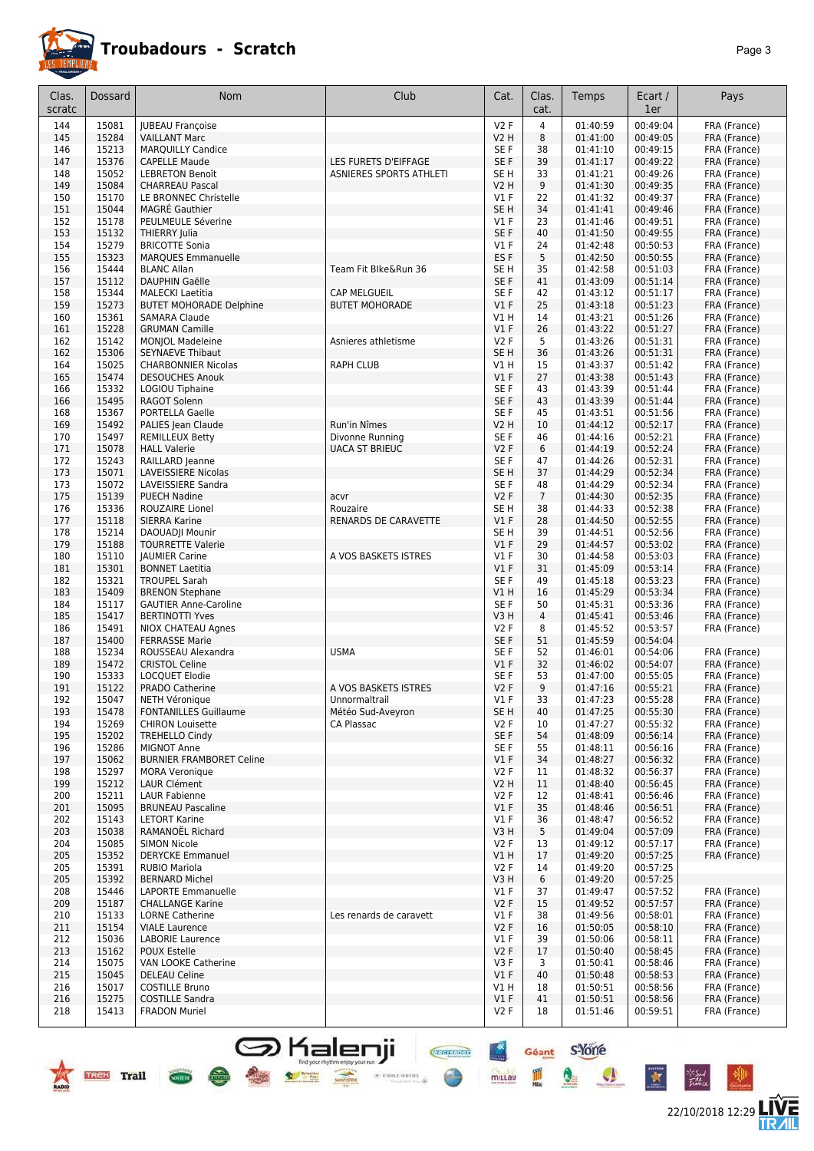

22/10/2018 12:29

**LIVE**<br>TR*A*IL

Géant S-Yorre

Q

 $\frac{1}{100}$ 

 $\mathcal{L}$ 

**CHEFFIORE** 

 $\times$  etoile service  $\oplus$ 

 $rac{4x}{2}$ 

mittau

| Clas.<br>scratc | Dossard        | Nom                                               | Club                    | Cat.                      | Clas.<br>cat.  | Temps                | Ecart /<br>1er       | Pays                         |
|-----------------|----------------|---------------------------------------------------|-------------------------|---------------------------|----------------|----------------------|----------------------|------------------------------|
| 144             | 15081          | <b>JUBEAU Françoise</b>                           |                         | <b>V2F</b>                | $\overline{4}$ | 01:40:59             | 00:49:04             | FRA (France)                 |
| 145             | 15284          | <b>VAILLANT Marc</b>                              |                         | <b>V2 H</b>               | 8              | 01:41:00             | 00:49:05             | FRA (France)                 |
| 146             | 15213          | <b>MARQUILLY Candice</b>                          |                         | SE F                      | 38             | 01:41:10             | 00:49:15             | FRA (France)                 |
| 147             | 15376          | <b>CAPELLE Maude</b>                              | LES FURETS D'EIFFAGE    | SE F                      | 39             | 01:41:17             | 00:49:22             | FRA (France)                 |
| 148             | 15052          | <b>LEBRETON Benoît</b>                            | ASNIERES SPORTS ATHLETI | SE <sub>H</sub>           | 33             | 01:41:21             | 00:49:26             | FRA (France)                 |
| 149             | 15084          | <b>CHARREAU Pascal</b>                            |                         | <b>V2 H</b>               | 9              | 01:41:30             | 00:49:35             | FRA (France)                 |
| 150<br>151      | 15170<br>15044 | LE BRONNEC Christelle<br><b>MAGRÉ Gauthier</b>    |                         | $VI$ F<br>SE <sub>H</sub> | 22<br>34       | 01:41:32<br>01:41:41 | 00:49:37<br>00:49:46 | FRA (France)<br>FRA (France) |
| 152             | 15178          | PEULMEULE Séverine                                |                         | $VI$ F                    | 23             | 01:41:46             | 00:49:51             | FRA (France)                 |
| 153             | 15132          | <b>THIERRY Iulia</b>                              |                         | SE <sub>F</sub>           | 40             | 01:41:50             | 00:49:55             | FRA (France)                 |
| 154             | 15279          | <b>BRICOTTE Sonia</b>                             |                         | $VI$ F                    | 24             | 01:42:48             | 00:50:53             | FRA (France)                 |
| 155             | 15323          | <b>MARQUES Emmanuelle</b>                         |                         | ES <sub>F</sub>           | 5              | 01:42:50             | 00:50:55             | FRA (France)                 |
| 156             | 15444          | <b>BLANC Allan</b>                                | Team Fit Blke&Run 36    | SE <sub>H</sub>           | 35             | 01:42:58             | 00:51:03             | FRA (France)                 |
| 157             | 15112          | <b>DAUPHIN Gaëlle</b>                             |                         | SE F                      | 41             | 01:43:09             | 00:51:14             | FRA (France)                 |
| 158             | 15344          | <b>MALECKI Laetitia</b>                           | CAP MELGUEIL            | SE F                      | 42             | 01:43:12             | 00:51:17             | FRA (France)                 |
| 159             | 15273          | <b>BUTET MOHORADE Delphine</b>                    | <b>BUTET MOHORADE</b>   | V1F                       | 25             | 01:43:18             | 00:51:23             | FRA (France)                 |
| 160<br>161      | 15361<br>15228 | <b>SAMARA Claude</b><br><b>GRUMAN Camille</b>     |                         | V1H<br>V1F                | 14<br>26       | 01:43:21<br>01:43:22 | 00:51:26<br>00:51:27 | FRA (France)<br>FRA (France) |
| 162             | 15142          | <b>MONJOL Madeleine</b>                           | Asnieres athletisme     | <b>V2F</b>                | 5              | 01:43:26             | 00:51:31             | FRA (France)                 |
| 162             | 15306          | <b>SEYNAEVE Thibaut</b>                           |                         | SE <sub>H</sub>           | 36             | 01:43:26             | 00:51:31             | FRA (France)                 |
| 164             | 15025          | <b>CHARBONNIER Nicolas</b>                        | <b>RAPH CLUB</b>        | V1 H                      | 15             | 01:43:37             | 00:51:42             | FRA (France)                 |
| 165             | 15474          | <b>DESOUCHES Anouk</b>                            |                         | $VI$ F                    | 27             | 01:43:38             | 00:51:43             | FRA (France)                 |
| 166             | 15332          | LOGIOU Tiphaine                                   |                         | SE F                      | 43             | 01:43:39             | 00:51:44             | FRA (France)                 |
| 166             | 15495          | RAGOT Solenn                                      |                         | SE F                      | 43             | 01:43:39             | 00:51:44             | FRA (France)                 |
| 168             | 15367          | PORTELLA Gaelle                                   |                         | SE F                      | 45             | 01:43:51             | 00:51:56             | FRA (France)                 |
| 169             | 15492          | PALIES Jean Claude                                | Run'in Nîmes            | <b>V2 H</b>               | 10             | 01:44:12             | 00:52:17             | FRA (France)                 |
| 170             | 15497          | <b>REMILLEUX Betty</b>                            | Divonne Running         | SE F                      | 46             | 01:44:16             | 00:52:21             | FRA (France)                 |
| 171<br>172      | 15078<br>15243 | <b>HALL Valerie</b><br>RAILLARD Jeanne            | <b>UACA ST BRIEUC</b>   | V2F<br>SE F               | 6<br>47        | 01:44:19<br>01:44:26 | 00:52:24<br>00:52:31 | FRA (France)<br>FRA (France) |
| 173             | 15071          | LAVEISSIERE Nicolas                               |                         | SE <sub>H</sub>           | 37             | 01:44:29             | 00:52:34             | FRA (France)                 |
| 173             | 15072          | LAVEISSIERE Sandra                                |                         | SE F                      | 48             | 01:44:29             | 00:52:34             | FRA (France)                 |
| 175             | 15139          | <b>PUECH Nadine</b>                               | acvr                    | V2F                       | $\overline{7}$ | 01:44:30             | 00:52:35             | FRA (France)                 |
| 176             | 15336          | ROUZAIRE Lionel                                   | Rouzaire                | SE H                      | 38             | 01:44:33             | 00:52:38             | FRA (France)                 |
| 177             | 15118          | <b>SIERRA Karine</b>                              | RENARDS DE CARAVETTE    | $VI$ F                    | 28             | 01:44:50             | 00:52:55             | FRA (France)                 |
| 178             | 15214          | DAOUADJI Mounir                                   |                         | SE H                      | 39             | 01:44:51             | 00:52:56             | FRA (France)                 |
| 179             | 15188          | <b>TOURRETTE Valerie</b>                          |                         | V1F                       | 29             | 01:44:57             | 00:53:02             | FRA (France)                 |
| 180             | 15110<br>15301 | <b>JAUMIER Carine</b>                             | A VOS BASKETS ISTRES    | $VI$ F                    | 30             | 01:44:58             | 00:53:03             | FRA (France)                 |
| 181<br>182      | 15321          | <b>BONNET Laetitia</b><br><b>TROUPEL Sarah</b>    |                         | V1F<br>SE F               | 31<br>49       | 01:45:09<br>01:45:18 | 00:53:14<br>00:53:23 | FRA (France)<br>FRA (France) |
| 183             | 15409          | <b>BRENON Stephane</b>                            |                         | VIH                       | 16             | 01:45:29             | 00:53:34             | FRA (France)                 |
| 184             | 15117          | <b>GAUTIER Anne-Caroline</b>                      |                         | SE F                      | 50             | 01:45:31             | 00:53:36             | FRA (France)                 |
| 185             | 15417          | <b>BERTINOTTI Yves</b>                            |                         | V3H                       | $\overline{4}$ | 01:45:41             | 00:53:46             | FRA (France)                 |
| 186             | 15491          | NIOX CHATEAU Agnes                                |                         | <b>V2F</b>                | 8              | 01:45:52             | 00:53:57             | FRA (France)                 |
| 187             | 15400          | <b>FERRASSE Marie</b>                             |                         | SE <sub>F</sub>           | 51             | 01:45:59             | 00:54:04             |                              |
| 188             | 15234          | ROUSSEAU Alexandra                                | <b>USMA</b>             | SE F                      | 52             | 01:46:01             | 00:54:06             | FRA (France)                 |
| 189             | 15472          | <b>CRISTOL Celine</b>                             |                         | $VI$ F                    | 32             | 01:46:02             | 00:54:07             | FRA (France)                 |
| 190<br>191      | 15333<br>15122 | LOCQUET Elodie<br>PRADO Catherine                 | A VOS BASKETS ISTRES    | SE F<br><b>V2F</b>        | 53<br>9        | 01:47:00<br>01:47:16 | 00:55:05<br>00:55:21 | FRA (France)<br>FRA (France) |
| 192             | 15047          | <b>NETH Véronique</b>                             | Unnormaltrail           | V1F                       | 33             | 01:47:23             | 00:55:28             | FRA (France)                 |
| 193             | 15478          | <b>FONTANILLES Guillaume</b>                      | Météo Sud-Aveyron       | SE H                      | 40             | 01:47:25             | 00:55:30             | FRA (France)                 |
| 194             | 15269          | <b>CHIRON Louisette</b>                           | CA Plassac              | V2F                       | 10             | 01:47:27             | 00:55:32             | FRA (France)                 |
| 195             | 15202          | <b>TREHELLO Cindy</b>                             |                         | SE F                      | 54             | 01:48:09             | 00:56:14             | FRA (France)                 |
| 196             | 15286          | <b>MIGNOT Anne</b>                                |                         | SE F                      | 55             | 01:48:11             | 00:56:16             | FRA (France)                 |
| 197             | 15062          | <b>BURNIER FRAMBORET Celine</b>                   |                         | $VI$ F                    | 34             | 01:48:27             | 00:56:32             | FRA (France)                 |
| 198             | 15297          | <b>MORA Veronique</b>                             |                         | V <sub>2</sub> F          | 11             | 01:48:32             | 00:56:37             | FRA (France)                 |
| 199             | 15212          | LAUR Clément<br><b>LAUR Fabienne</b>              |                         | V2 H<br>V2F               | 11             | 01:48:40             | 00:56:45<br>00:56:46 | FRA (France)<br>FRA (France) |
| 200<br>201      | 15211<br>15095 | <b>BRUNEAU Pascaline</b>                          |                         | $VI$ F                    | 12<br>35       | 01:48:41<br>01:48:46 | 00:56:51             | FRA (France)                 |
| 202             | 15143          | <b>LETORT Karine</b>                              |                         | $VI$ F                    | 36             | 01:48:47             | 00:56:52             | FRA (France)                 |
| 203             | 15038          | RAMANOËL Richard                                  |                         | V3H                       | 5              | 01:49:04             | 00:57:09             | FRA (France)                 |
| 204             | 15085          | <b>SIMON Nicole</b>                               |                         | V2F                       | 13             | 01:49:12             | 00:57:17             | FRA (France)                 |
| 205             | 15352          | <b>DERYCKE Emmanuel</b>                           |                         | VIH                       | 17             | 01:49:20             | 00:57:25             | FRA (France)                 |
| 205             | 15391          | <b>RUBIO Mariola</b>                              |                         | V2F                       | 14             | 01:49:20             | 00:57:25             |                              |
| 205             | 15392          | <b>BERNARD Michel</b>                             |                         | V3 H                      | 6              | 01:49:20             | 00:57:25             |                              |
| 208             | 15446          | LAPORTE Emmanuelle                                |                         | $VI$ F                    | 37             | 01:49:47             | 00:57:52             | FRA (France)                 |
| 209<br>210      | 15187<br>15133 | <b>CHALLANGE Karine</b><br><b>LORNE Catherine</b> | Les renards de caravett | V2F<br>$VI$ F             | 15<br>38       | 01:49:52<br>01:49:56 | 00:57:57<br>00:58:01 | FRA (France)<br>FRA (France) |
| 211             | 15154          | <b>VIALE Laurence</b>                             |                         | V2F                       | 16             | 01:50:05             | 00:58:10             | FRA (France)                 |
| 212             | 15036          | <b>LABORIE Laurence</b>                           |                         | $VI$ F                    | 39             | 01:50:06             | 00:58:11             | FRA (France)                 |
| 213             | 15162          | POUX Estelle                                      |                         | V2F                       | 17             | 01:50:40             | 00:58:45             | FRA (France)                 |
| 214             | 15075          | VAN LOOKE Catherine                               |                         | V3F                       | 3              | 01:50:41             | 00:58:46             | FRA (France)                 |
| 215             | 15045          | <b>DELEAU Celine</b>                              |                         | $VI$ F                    | 40             | 01:50:48             | 00:58:53             | FRA (France)                 |
| 216             | 15017          | <b>COSTILLE Bruno</b>                             |                         | V1H                       | 18             | 01:50:51             | 00:58:56             | FRA (France)                 |
| 216             | 15275          | <b>COSTILLE Sandra</b>                            |                         | $VI$ F                    | 41             | 01:50:51             | 00:58:56             | FRA (France)                 |
| 218             | 15413          | <b>FRADON Muriel</b>                              |                         | V2F                       | 18             | 01:51:46             | 00:59:51             | FRA (France)                 |

**S** Kalenji

 $\frac{1}{\sqrt{2\pi}}$ 

**TREK** Trail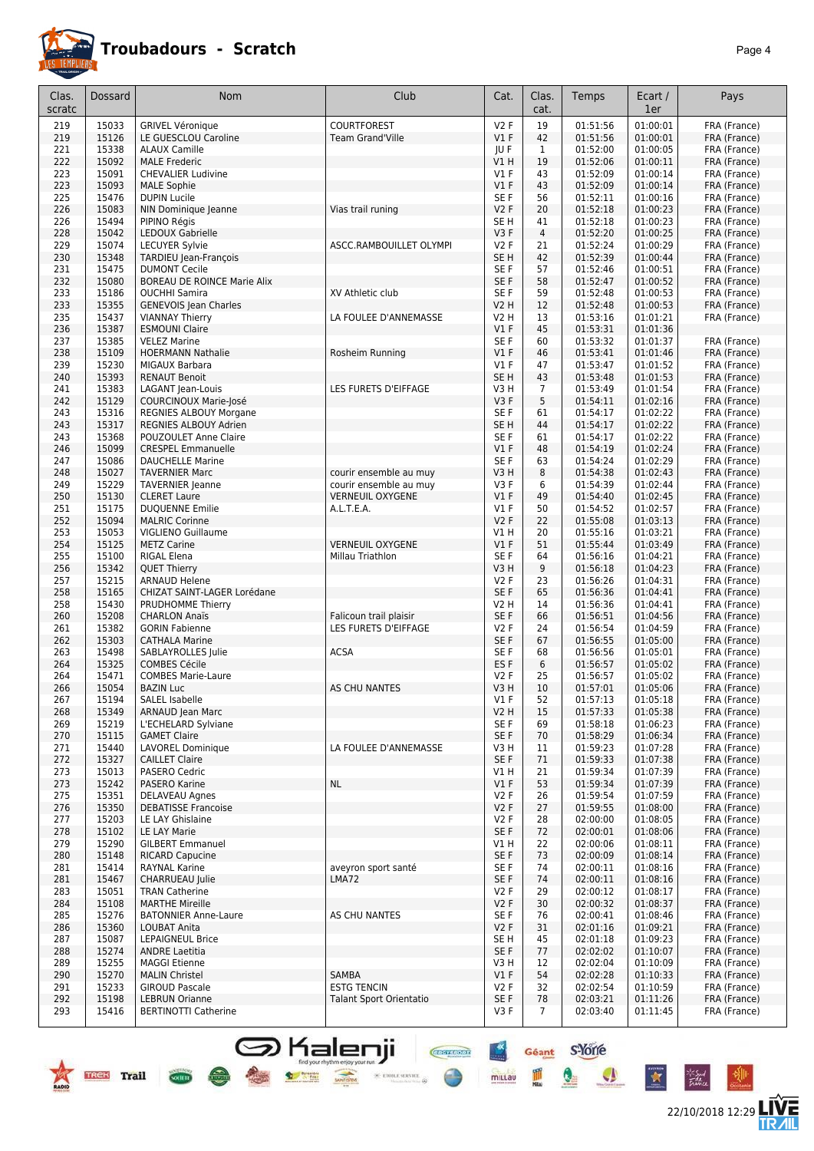

### **Troubadours - Scratch** *Page 4*

22/10/2018 12:29 **LIVE** 

Géant S-Yone

Q

 $\bullet$ 

 $\star$ 

**Chefflord** 

 $\text{ 9.471} \times \text{ 10.53} \times \text{ 10.53} \times \text{ 10.53} \times \text{ 10.53} \times \text{ 10.53} \times \text{ 10.53} \times \text{ 10.53} \times \text{ 10.53} \times \text{ 10.53} \times \text{ 10.53} \times \text{ 10.53} \times \text{ 10.53} \times \text{ 10.53} \times \text{ 10.53} \times \text{ 10.53} \times \text{ 10.53} \times \text{ 10.53} \times \text{$ 

 $\frac{+x}{-x}$ 

mittau

鳳

| Clas.<br>scratc | Dossard        | Nom                                                        | Club                           | Cat.            | Clas.<br>cat.  | Temps                | Ecart /<br>1er       | Pays                         |
|-----------------|----------------|------------------------------------------------------------|--------------------------------|-----------------|----------------|----------------------|----------------------|------------------------------|
| 219             | 15033          | <b>GRIVEL Véronique</b>                                    | <b>COURTFOREST</b>             | V2F             | 19             | 01:51:56             | 01:00:01             | FRA (France)                 |
| 219             | 15126          | LE GUESCLOU Caroline                                       | <b>Team Grand'Ville</b>        | V1F             | 42             | 01:51:56             | 01:00:01             | FRA (France)                 |
| 221             | 15338          | <b>ALAUX Camille</b>                                       |                                | JU F            | 1              | 01:52:00             | 01:00:05             | FRA (France)                 |
| 222             | 15092          | <b>MALE Frederic</b>                                       |                                | V1 H            | 19             | 01:52:06             | 01:00:11             | FRA (France)                 |
| 223             | 15091          | <b>CHEVALIER Ludivine</b>                                  |                                | $VI$ F          | 43             | 01:52:09             | 01:00:14             | FRA (France)                 |
| 223             | 15093          | <b>MALE Sophie</b>                                         |                                | $VI$ F          | 43             | 01:52:09             | 01:00:14             | FRA (France)                 |
| 225             | 15476          | <b>DUPIN Lucile</b>                                        |                                | SE F            | 56             | 01:52:11             | 01:00:16             | FRA (France)                 |
| 226             | 15083          | NIN Dominique Jeanne                                       | Vias trail runing              | V2F             | 20             | 01:52:18             | 01:00:23             | FRA (France)                 |
| 226             | 15494          | PIPINO Régis                                               |                                | SE H            | 41             | 01:52:18             | 01:00:23             | FRA (France)                 |
| 228             | 15042          | LEDOUX Gabrielle                                           |                                | V3F             | $\overline{4}$ | 01:52:20             | 01:00:25             | FRA (France)                 |
| 229             | 15074          | <b>LECUYER Sylvie</b>                                      | ASCC.RAMBOUILLET OLYMPI        | V2F             | 21             | 01:52:24             | 01:00:29             | FRA (France)                 |
| 230             | 15348          | TARDIEU Jean-François                                      |                                | SE <sub>H</sub> | 42             | 01:52:39             | 01:00:44             | FRA (France)                 |
| 231<br>232      | 15475<br>15080 | <b>DUMONT Cecile</b><br><b>BOREAU DE ROINCE Marie Alix</b> |                                | SE F<br>SE F    | 57<br>58       | 01:52:46<br>01:52:47 | 01:00:51<br>01:00:52 | FRA (France)<br>FRA (France) |
| 233             | 15186          | <b>OUCHHI Samira</b>                                       | XV Athletic club               | SE F            | 59             | 01:52:48             | 01:00:53             | FRA (France)                 |
| 233             | 15355          | <b>GENEVOIS Jean Charles</b>                               |                                | V2 H            | 12             | 01:52:48             | 01:00:53             | FRA (France)                 |
| 235             | 15437          | <b>VIANNAY Thierry</b>                                     | LA FOULEE D'ANNEMASSE          | V2 H            | 13             | 01:53:16             | 01:01:21             | FRA (France)                 |
| 236             | 15387          | <b>ESMOUNI Claire</b>                                      |                                | $VI$ F          | 45             | 01:53:31             | 01:01:36             |                              |
| 237             | 15385          | <b>VELEZ Marine</b>                                        |                                | SE F            | 60             | 01:53:32             | 01:01:37             | FRA (France)                 |
| 238             | 15109          | <b>HOERMANN Nathalie</b>                                   | Rosheim Running                | V1F             | 46             | 01:53:41             | 01:01:46             | FRA (France)                 |
| 239             | 15230          | MIGAUX Barbara                                             |                                | $VI$ F          | 47             | 01:53:47             | 01:01:52             | FRA (France)                 |
| 240             | 15393          | <b>RENAUT Benoit</b>                                       |                                | SE <sub>H</sub> | 43             | 01:53:48             | 01:01:53             | FRA (France)                 |
| 241             | 15383          | LAGANT Jean-Louis                                          | LES FURETS D'EIFFAGE           | V3 H            | 7              | 01:53:49             | 01:01:54             | FRA (France)                 |
| 242             | 15129          | <b>COURCINOUX Marie-José</b>                               |                                | V3F             | 5              | 01:54:11             | 01:02:16             | FRA (France)                 |
| 243             | 15316          | REGNIES ALBOUY Morgane                                     |                                | SE F            | 61             | 01:54:17             | 01:02:22             | FRA (France)                 |
| 243             | 15317          | REGNIES ALBOUY Adrien                                      |                                | SE <sub>H</sub> | 44             | 01:54:17             | 01:02:22             | FRA (France)                 |
| 243             | 15368          | <b>POUZOULET Anne Claire</b>                               |                                | SE F            | 61             | 01:54:17             | 01:02:22             | FRA (France)                 |
| 246             | 15099          | <b>CRESPEL Emmanuelle</b>                                  |                                | $VI$ F          | 48             | 01:54:19             | 01:02:24             | FRA (France)                 |
| 247             | 15086          | <b>DAUCHELLE Marine</b>                                    |                                | SE F            | 63             | 01:54:24             | 01:02:29             | FRA (France)                 |
| 248             | 15027          | <b>TAVERNIER Marc</b>                                      | courir ensemble au muy         | V3H             | 8              | 01:54:38             | 01:02:43             | FRA (France)                 |
| 249             | 15229          | <b>TAVERNIER Jeanne</b>                                    | courir ensemble au muy         | V3F             | 6              | 01:54:39             | 01:02:44             | FRA (France)                 |
| 250             | 15130          | <b>CLERET Laure</b>                                        | <b>VERNEUIL OXYGENE</b>        | $VI$ F          | 49             | 01:54:40             | 01:02:45             | FRA (France)                 |
| 251             | 15175          | <b>DUQUENNE Emilie</b>                                     | A.L.T.E.A.                     | $VI$ F          | 50             | 01:54:52             | 01:02:57             | FRA (France)                 |
| 252             | 15094<br>15053 | <b>MALRIC Corinne</b>                                      |                                | V2F             | 22<br>20       | 01:55:08<br>01:55:16 | 01:03:13<br>01:03:21 | FRA (France)                 |
| 253<br>254      | 15125          | VIGLIENO Guillaume<br><b>METZ Carine</b>                   | <b>VERNEUIL OXYGENE</b>        | V1 H<br>V1F     | 51             | 01:55:44             | 01:03:49             | FRA (France)<br>FRA (France) |
| 255             | 15100          | RIGAL Elena                                                | Millau Triathlon               | SE F            | 64             | 01:56:16             | 01:04:21             | FRA (France)                 |
| 256             | 15342          | <b>QUET Thierry</b>                                        |                                | V3H             | 9              | 01:56:18             | 01:04:23             | FRA (France)                 |
| 257             | 15215          | <b>ARNAUD Helene</b>                                       |                                | V2F             | 23             | 01:56:26             | 01:04:31             | FRA (France)                 |
| 258             | 15165          | CHIZAT SAINT-LAGER Lorédane                                |                                | SE F            | 65             | 01:56:36             | 01:04:41             | FRA (France)                 |
| 258             | 15430          | PRUDHOMME Thierry                                          |                                | V2 H            | 14             | 01:56:36             | 01:04:41             | FRA (France)                 |
| 260             | 15208          | <b>CHARLON Anaïs</b>                                       | Falicoun trail plaisir         | SE F            | 66             | 01:56:51             | 01:04:56             | FRA (France)                 |
| 261             | 15382          | <b>GORIN Fabienne</b>                                      | LES FURETS D'EIFFAGE           | V2F             | 24             | 01:56:54             | 01:04:59             | FRA (France)                 |
| 262             | 15303          | <b>CATHALA Marine</b>                                      |                                | SE F            | 67             | 01:56:55             | 01:05:00             | FRA (France)                 |
| 263             | 15498          | SABLAYROLLES Julie                                         | <b>ACSA</b>                    | SE F            | 68             | 01:56:56             | 01:05:01             | FRA (France)                 |
| 264             | 15325          | <b>COMBES Cécile</b>                                       |                                | ES <sub>F</sub> | 6              | 01:56:57             | 01:05:02             | FRA (France)                 |
| 264             | 15471          | <b>COMBES Marie-Laure</b>                                  |                                | V2F             | 25             | 01:56:57             | 01:05:02             | FRA (France)                 |
| 266             | 15054          | <b>BAZIN Luc</b>                                           | <b>AS CHU NANTES</b>           | V3H             | 10             | 01:57:01             | 01:05:06             | FRA (France)                 |
| 267             | 15194          | <b>SALEL Isabelle</b>                                      |                                | V1F             | 52             | 01:57:13             | 01:05:18             | FRA (France)                 |
| 268             | 15349          | ARNAUD Jean Marc                                           |                                | <b>V2 H</b>     | 15             | 01:57:33             | 01:05:38             | FRA (France)                 |
| 269             | 15219          | L'ECHELARD Sylviane<br><b>GAMET Claire</b>                 |                                | SE F            | 69<br>70       | 01:58:18<br>01:58:29 | 01:06:23<br>01:06:34 | FRA (France)                 |
| 270<br>271      | 15115<br>15440 | <b>LAVOREL Dominique</b>                                   | LA FOULEE D'ANNEMASSE          | SE F<br>V3H     | 11             | 01:59:23             | 01:07:28             | FRA (France)<br>FRA (France) |
| 272             | 15327          | <b>CAILLET Claire</b>                                      |                                | SE F            | 71             | 01:59:33             | 01:07:38             | FRA (France)                 |
| 273             | 15013          | PASERO Cedric                                              |                                | V1 H            | 21             | 01:59:34             | 01:07:39             | FRA (France)                 |
| 273             | 15242          | <b>PASERO Karine</b>                                       | <b>NL</b>                      | $VI$ F          | 53             | 01:59:34             | 01:07:39             | FRA (France)                 |
| 275             | 15351          | DELAVEAU Agnes                                             |                                | V2F             | 26             | 01:59:54             | 01:07:59             | FRA (France)                 |
| 276             | 15350          | <b>DEBATISSE Francoise</b>                                 |                                | V2F             | 27             | 01:59:55             | 01:08:00             | FRA (France)                 |
| 277             | 15203          | LE LAY Ghislaine                                           |                                | V2F             | 28             | 02:00:00             | 01:08:05             | FRA (France)                 |
| 278             | 15102          | LE LAY Marie                                               |                                | SE F            | 72             | 02:00:01             | 01:08:06             | FRA (France)                 |
| 279             | 15290          | <b>GILBERT Emmanuel</b>                                    |                                | V1 H            | 22             | 02:00:06             | 01:08:11             | FRA (France)                 |
| 280             | 15148          | <b>RICARD Capucine</b>                                     |                                | SE F            | 73             | 02:00:09             | 01:08:14             | FRA (France)                 |
| 281             | 15414          | <b>RAYNAL Karine</b>                                       | aveyron sport santé            | SE F            | 74             | 02:00:11             | 01:08:16             | FRA (France)                 |
| 281             | 15467          | CHARRUEAU Julie                                            | LMA72                          | SE F            | 74             | 02:00:11             | 01:08:16             | FRA (France)                 |
| 283             | 15051          | <b>TRAN Catherine</b>                                      |                                | V2F             | 29             | 02:00:12             | 01:08:17             | FRA (France)                 |
| 284             | 15108          | <b>MARTHE Mireille</b>                                     |                                | V2F             | 30             | 02:00:32             | 01:08:37             | FRA (France)                 |
| 285             | 15276          | <b>BATONNIER Anne-Laure</b>                                | AS CHU NANTES                  | SE F            | 76             | 02:00:41             | 01:08:46             | FRA (France)                 |
| 286             | 15360          | LOUBAT Anita                                               |                                | V2F             | 31             | 02:01:16             | 01:09:21             | FRA (France)                 |
| 287             | 15087          | <b>LEPAIGNEUL Brice</b>                                    |                                | SE H            | 45             | 02:01:18             | 01:09:23             | FRA (France)                 |
| 288             | 15274          | <b>ANDRE Laetitia</b>                                      |                                | SE F            | 77             | 02:02:02             | 01:10:07             | FRA (France)                 |
| 289             | 15255<br>15270 | <b>MAGGI Etienne</b><br><b>MALIN Christel</b>              | SAMBA                          | V3H<br>$VI$ F   | 12<br>54       | 02:02:04             | 01:10:09<br>01:10:33 | FRA (France)                 |
| 290<br>291      | 15233          | <b>GIROUD Pascale</b>                                      | <b>ESTG TENCIN</b>             | V2F             | 32             | 02:02:28<br>02:02:54 | 01:10:59             | FRA (France)<br>FRA (France) |
| 292             | 15198          | <b>LEBRUN Orianne</b>                                      | <b>Talant Sport Orientatio</b> | SE F            | 78             | 02:03:21             | 01:11:26             | FRA (France)                 |
| 293             | 15416          | <b>BERTINOTTI Catherine</b>                                |                                | V3F             | 7              | 02:03:40             | 01:11:45             | FRA (France)                 |
|                 |                |                                                            |                                |                 |                |                      |                      |                              |

**S** Kalenji<br>• • • •



**Cocirre**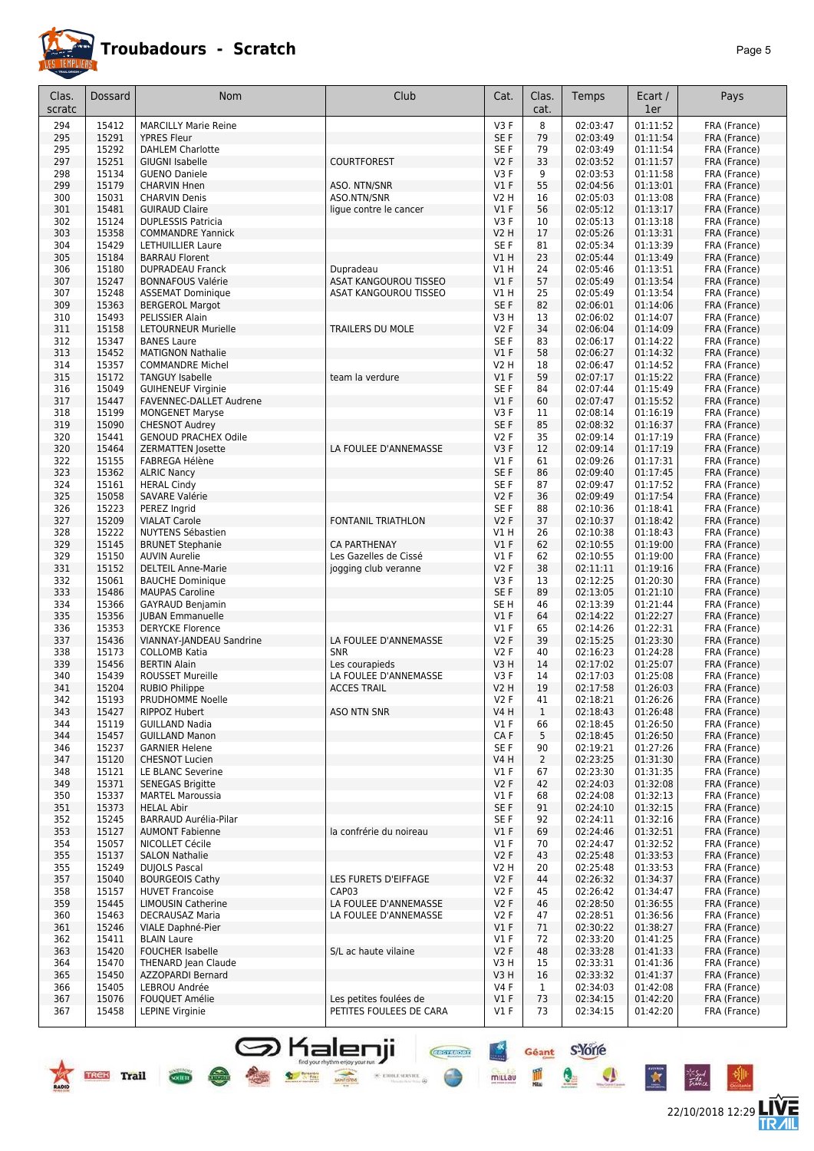

# **Troubadours - Scratch**

|--|--|

22/10/2018 12:29 **LIVE** 

| 8<br>15412<br>V <sub>3</sub> F<br>02:03:47<br>01:11:52<br>294<br><b>MARCILLY Marie Reine</b><br>15291<br>01:11:54<br>295<br>SE F<br>79<br>02:03:49<br><b>YPRES Fleur</b><br>15292<br>295<br>SE F<br>79<br>02:03:49<br>01:11:54<br><b>DAHLEM Charlotte</b><br>15251<br>297<br>V2F<br>33<br>02:03:52<br>01:11:57<br><b>GIUGNI Isabelle</b><br><b>COURTFOREST</b><br>15134<br>298<br>V3F<br>9<br>02:03:53<br>01:11:58<br><b>GUENO Daniele</b><br>15179<br>55<br>299<br>V1F<br>02:04:56<br>01:13:01<br><b>CHARVIN Hnen</b><br>ASO. NTN/SNR<br>300<br>15031<br><b>CHARVIN Denis</b><br><b>V2 H</b><br>16<br>02:05:03<br>01:13:08<br>ASO.NTN/SNR<br>301<br>15481<br>$VI$ F<br>56<br>01:13:17<br><b>GUIRAUD Claire</b><br>02:05:12<br>ligue contre le cancer<br>15124<br>V3F<br>10<br>02:05:13<br>01:13:18<br>302<br><b>DUPLESSIS Patricia</b><br>303<br>15358<br>17<br><b>COMMANDRE Yannick</b><br>V2 H<br>02:05:26<br>01:13:31<br>15429<br>SE F<br>81<br>01:13:39<br>304<br>LETHUILLIER Laure<br>02:05:34 | FRA (France)<br>FRA (France)<br>FRA (France)<br>FRA (France)<br>FRA (France)<br>FRA (France)<br>FRA (France)<br>FRA (France)<br>FRA (France)<br>FRA (France)<br>FRA (France)<br>01:13:49<br>FRA (France)<br>FRA (France)<br>FRA (France)<br>FRA (France)<br>FRA (France)<br>01:14:07<br>FRA (France)<br>01:14:09<br>FRA (France)<br>01:14:22<br>FRA (France)<br>FRA (France) |
|------------------------------------------------------------------------------------------------------------------------------------------------------------------------------------------------------------------------------------------------------------------------------------------------------------------------------------------------------------------------------------------------------------------------------------------------------------------------------------------------------------------------------------------------------------------------------------------------------------------------------------------------------------------------------------------------------------------------------------------------------------------------------------------------------------------------------------------------------------------------------------------------------------------------------------------------------------------------------------------------------|------------------------------------------------------------------------------------------------------------------------------------------------------------------------------------------------------------------------------------------------------------------------------------------------------------------------------------------------------------------------------|
|                                                                                                                                                                                                                                                                                                                                                                                                                                                                                                                                                                                                                                                                                                                                                                                                                                                                                                                                                                                                      |                                                                                                                                                                                                                                                                                                                                                                              |
|                                                                                                                                                                                                                                                                                                                                                                                                                                                                                                                                                                                                                                                                                                                                                                                                                                                                                                                                                                                                      |                                                                                                                                                                                                                                                                                                                                                                              |
|                                                                                                                                                                                                                                                                                                                                                                                                                                                                                                                                                                                                                                                                                                                                                                                                                                                                                                                                                                                                      |                                                                                                                                                                                                                                                                                                                                                                              |
|                                                                                                                                                                                                                                                                                                                                                                                                                                                                                                                                                                                                                                                                                                                                                                                                                                                                                                                                                                                                      |                                                                                                                                                                                                                                                                                                                                                                              |
|                                                                                                                                                                                                                                                                                                                                                                                                                                                                                                                                                                                                                                                                                                                                                                                                                                                                                                                                                                                                      |                                                                                                                                                                                                                                                                                                                                                                              |
|                                                                                                                                                                                                                                                                                                                                                                                                                                                                                                                                                                                                                                                                                                                                                                                                                                                                                                                                                                                                      |                                                                                                                                                                                                                                                                                                                                                                              |
|                                                                                                                                                                                                                                                                                                                                                                                                                                                                                                                                                                                                                                                                                                                                                                                                                                                                                                                                                                                                      |                                                                                                                                                                                                                                                                                                                                                                              |
|                                                                                                                                                                                                                                                                                                                                                                                                                                                                                                                                                                                                                                                                                                                                                                                                                                                                                                                                                                                                      |                                                                                                                                                                                                                                                                                                                                                                              |
|                                                                                                                                                                                                                                                                                                                                                                                                                                                                                                                                                                                                                                                                                                                                                                                                                                                                                                                                                                                                      |                                                                                                                                                                                                                                                                                                                                                                              |
| 305<br>15184<br>V1 H<br>23<br><b>BARRAU Florent</b><br>02:05:44                                                                                                                                                                                                                                                                                                                                                                                                                                                                                                                                                                                                                                                                                                                                                                                                                                                                                                                                      |                                                                                                                                                                                                                                                                                                                                                                              |
| 15180<br>V1H<br>24<br>02:05:46<br>01:13:51<br>306<br><b>DUPRADEAU Franck</b><br>Dupradeau                                                                                                                                                                                                                                                                                                                                                                                                                                                                                                                                                                                                                                                                                                                                                                                                                                                                                                            |                                                                                                                                                                                                                                                                                                                                                                              |
| 15247<br>307<br><b>ASAT KANGOUROU TISSEO</b><br>$VI$ F<br>57<br>02:05:49<br>01:13:54<br><b>BONNAFOUS Valérie</b>                                                                                                                                                                                                                                                                                                                                                                                                                                                                                                                                                                                                                                                                                                                                                                                                                                                                                     |                                                                                                                                                                                                                                                                                                                                                                              |
| 15248<br>01:13:54<br>ASAT KANGOUROU TISSEO<br>25<br>02:05:49<br>307<br><b>ASSEMAT Dominique</b><br>V1 H                                                                                                                                                                                                                                                                                                                                                                                                                                                                                                                                                                                                                                                                                                                                                                                                                                                                                              |                                                                                                                                                                                                                                                                                                                                                                              |
| 15363<br>82<br>309<br>SE F<br>02:06:01<br>01:14:06<br><b>BERGEROL Margot</b>                                                                                                                                                                                                                                                                                                                                                                                                                                                                                                                                                                                                                                                                                                                                                                                                                                                                                                                         |                                                                                                                                                                                                                                                                                                                                                                              |
| 15493<br>310<br>PELISSIER Alain<br>V3H<br>13<br>02:06:02<br>15158<br>311<br>LETOURNEUR Murielle<br>V2F<br>34<br>02:06:04                                                                                                                                                                                                                                                                                                                                                                                                                                                                                                                                                                                                                                                                                                                                                                                                                                                                             |                                                                                                                                                                                                                                                                                                                                                                              |
| TRAILERS DU MOLE<br>312<br>15347<br>SE F<br>83<br>02:06:17<br><b>BANES Laure</b>                                                                                                                                                                                                                                                                                                                                                                                                                                                                                                                                                                                                                                                                                                                                                                                                                                                                                                                     |                                                                                                                                                                                                                                                                                                                                                                              |
| 313<br>15452<br>$VI$ F<br>58<br>01:14:32<br><b>MATIGNON Nathalie</b><br>02:06:27                                                                                                                                                                                                                                                                                                                                                                                                                                                                                                                                                                                                                                                                                                                                                                                                                                                                                                                     |                                                                                                                                                                                                                                                                                                                                                                              |
| 15357<br>18<br>314<br><b>COMMANDRE Michel</b><br><b>V2 H</b><br>02:06:47<br>01:14:52                                                                                                                                                                                                                                                                                                                                                                                                                                                                                                                                                                                                                                                                                                                                                                                                                                                                                                                 | FRA (France)                                                                                                                                                                                                                                                                                                                                                                 |
| 15172<br>59<br>01:15:22<br>315<br><b>TANGUY Isabelle</b><br>$VI$ F<br>02:07:17<br>team la verdure                                                                                                                                                                                                                                                                                                                                                                                                                                                                                                                                                                                                                                                                                                                                                                                                                                                                                                    | FRA (France)                                                                                                                                                                                                                                                                                                                                                                 |
| 15049<br>SE F<br>84<br>316<br><b>GUIHENEUF Virginie</b><br>02:07:44<br>01:15:49                                                                                                                                                                                                                                                                                                                                                                                                                                                                                                                                                                                                                                                                                                                                                                                                                                                                                                                      | FRA (France)                                                                                                                                                                                                                                                                                                                                                                 |
| 15447<br>V1F<br>60<br>01:15:52<br>317<br>FAVENNEC-DALLET Audrene<br>02:07:47                                                                                                                                                                                                                                                                                                                                                                                                                                                                                                                                                                                                                                                                                                                                                                                                                                                                                                                         | FRA (France)                                                                                                                                                                                                                                                                                                                                                                 |
| 318<br>15199<br>V3F<br>11<br>01:16:19<br><b>MONGENET Maryse</b><br>02:08:14<br>15090<br>85<br>319<br>SE F<br>02:08:32<br>01:16:37<br><b>CHESNOT Audrey</b>                                                                                                                                                                                                                                                                                                                                                                                                                                                                                                                                                                                                                                                                                                                                                                                                                                           | FRA (France)<br>FRA (France)                                                                                                                                                                                                                                                                                                                                                 |
| 15441<br>320<br><b>GENOUD PRACHEX Odile</b><br>V2F<br>35<br>02:09:14<br>01:17:19                                                                                                                                                                                                                                                                                                                                                                                                                                                                                                                                                                                                                                                                                                                                                                                                                                                                                                                     | FRA (France)                                                                                                                                                                                                                                                                                                                                                                 |
| 15464<br>01:17:19<br>320<br>LA FOULEE D'ANNEMASSE<br>V3F<br>12<br>02:09:14<br><b>ZERMATTEN Josette</b>                                                                                                                                                                                                                                                                                                                                                                                                                                                                                                                                                                                                                                                                                                                                                                                                                                                                                               | FRA (France)                                                                                                                                                                                                                                                                                                                                                                 |
| 15155<br>01:17:31<br>322<br>$VI$ F<br>61<br>02:09:26<br>FABREGA Hélène                                                                                                                                                                                                                                                                                                                                                                                                                                                                                                                                                                                                                                                                                                                                                                                                                                                                                                                               | FRA (France)                                                                                                                                                                                                                                                                                                                                                                 |
| 15362<br>323<br>SE F<br>86<br>02:09:40<br>01:17:45<br><b>ALRIC Nancy</b>                                                                                                                                                                                                                                                                                                                                                                                                                                                                                                                                                                                                                                                                                                                                                                                                                                                                                                                             | FRA (France)                                                                                                                                                                                                                                                                                                                                                                 |
| 324<br>15161<br>SE F<br>87<br>01:17:52<br><b>HERAL Cindy</b><br>02:09:47                                                                                                                                                                                                                                                                                                                                                                                                                                                                                                                                                                                                                                                                                                                                                                                                                                                                                                                             | FRA (France)                                                                                                                                                                                                                                                                                                                                                                 |
| 325<br>15058<br><b>SAVARE Valérie</b><br>V2F<br>36<br>01:17:54<br>02:09:49<br>15223<br>326<br>SE F<br>88<br>02:10:36<br>01:18:41                                                                                                                                                                                                                                                                                                                                                                                                                                                                                                                                                                                                                                                                                                                                                                                                                                                                     | FRA (France)                                                                                                                                                                                                                                                                                                                                                                 |
| PEREZ Ingrid<br>15209<br>37<br>V2F<br>327<br><b>VIALAT Carole</b><br><b>FONTANIL TRIATHLON</b><br>02:10:37<br>01:18:42                                                                                                                                                                                                                                                                                                                                                                                                                                                                                                                                                                                                                                                                                                                                                                                                                                                                               | FRA (France)<br>FRA (France)                                                                                                                                                                                                                                                                                                                                                 |
| 15222<br>26<br>328<br>NUYTENS Sébastien<br>V1 H<br>02:10:38<br>01:18:43                                                                                                                                                                                                                                                                                                                                                                                                                                                                                                                                                                                                                                                                                                                                                                                                                                                                                                                              | FRA (France)                                                                                                                                                                                                                                                                                                                                                                 |
| 62<br>329<br>15145<br>$VI$ F<br><b>BRUNET Stephanie</b><br>CA PARTHENAY<br>02:10:55<br>01:19:00                                                                                                                                                                                                                                                                                                                                                                                                                                                                                                                                                                                                                                                                                                                                                                                                                                                                                                      | FRA (France)                                                                                                                                                                                                                                                                                                                                                                 |
| 329<br>15150<br>$VI$ F<br>62<br>01:19:00<br><b>AUVIN Aurelie</b><br>Les Gazelles de Cissé<br>02:10:55                                                                                                                                                                                                                                                                                                                                                                                                                                                                                                                                                                                                                                                                                                                                                                                                                                                                                                | FRA (France)                                                                                                                                                                                                                                                                                                                                                                 |
| 15152<br>331<br>V2F<br>38<br>01:19:16<br><b>DELTEIL Anne-Marie</b><br>02:11:11<br>jogging club veranne                                                                                                                                                                                                                                                                                                                                                                                                                                                                                                                                                                                                                                                                                                                                                                                                                                                                                               | FRA (France)                                                                                                                                                                                                                                                                                                                                                                 |
| 15061<br>01:20:30<br>332<br>V3F<br>13<br>02:12:25<br><b>BAUCHE Dominique</b><br>15486<br>89<br>333<br>SE F<br>02:13:05<br>01:21:10                                                                                                                                                                                                                                                                                                                                                                                                                                                                                                                                                                                                                                                                                                                                                                                                                                                                   | FRA (France)                                                                                                                                                                                                                                                                                                                                                                 |
| <b>MAUPAS Caroline</b><br>15366<br>01:21:44<br>334<br>SE <sub>H</sub><br>46<br>02:13:39<br><b>GAYRAUD Benjamin</b>                                                                                                                                                                                                                                                                                                                                                                                                                                                                                                                                                                                                                                                                                                                                                                                                                                                                                   | FRA (France)<br>FRA (France)                                                                                                                                                                                                                                                                                                                                                 |
| 15356<br>01:22:27<br>335<br>V1F<br>64<br>02:14:22<br><b>JUBAN Emmanuelle</b>                                                                                                                                                                                                                                                                                                                                                                                                                                                                                                                                                                                                                                                                                                                                                                                                                                                                                                                         | FRA (France)                                                                                                                                                                                                                                                                                                                                                                 |
| 336<br>15353<br><b>DERYCKE Florence</b><br>$VI$ F<br>65<br>02:14:26<br>01:22:31                                                                                                                                                                                                                                                                                                                                                                                                                                                                                                                                                                                                                                                                                                                                                                                                                                                                                                                      | FRA (France)                                                                                                                                                                                                                                                                                                                                                                 |
| 337<br>15436<br>LA FOULEE D'ANNEMASSE<br>V2F<br>39<br>01:23:30<br>VIANNAY-JANDEAU Sandrine<br>02:15:25                                                                                                                                                                                                                                                                                                                                                                                                                                                                                                                                                                                                                                                                                                                                                                                                                                                                                               | FRA (France)                                                                                                                                                                                                                                                                                                                                                                 |
| 15173<br>40<br>338<br><b>COLLOMB Katia</b><br><b>SNR</b><br>V2F<br>02:16:23<br>01:24:28                                                                                                                                                                                                                                                                                                                                                                                                                                                                                                                                                                                                                                                                                                                                                                                                                                                                                                              | FRA (France)                                                                                                                                                                                                                                                                                                                                                                 |
| 15456<br>339<br><b>BERTIN Alain</b><br>Les courapieds<br>V3H<br>14<br>02:17:02<br>01:25:07<br>14<br>340<br>15439<br>LA FOULEE D'ANNEMASSE<br>V3F<br><b>ROUSSET Mureille</b>                                                                                                                                                                                                                                                                                                                                                                                                                                                                                                                                                                                                                                                                                                                                                                                                                          | FRA (France)<br>FRA (France)                                                                                                                                                                                                                                                                                                                                                 |
| 02:17:03<br>01:25:08<br>15204<br><b>V2 H</b><br>19<br>341<br><b>ACCES TRAIL</b><br>02:17:58<br>01:26:03<br><b>RUBIO Philippe</b>                                                                                                                                                                                                                                                                                                                                                                                                                                                                                                                                                                                                                                                                                                                                                                                                                                                                     | FRA (France)                                                                                                                                                                                                                                                                                                                                                                 |
| 342<br>15193<br>PRUDHOMME Noelle<br>V2 F<br>41<br>02:18:21<br>01:26:26                                                                                                                                                                                                                                                                                                                                                                                                                                                                                                                                                                                                                                                                                                                                                                                                                                                                                                                               | FRA (France)                                                                                                                                                                                                                                                                                                                                                                 |
| <b>ASO NTN SNR</b><br><b>V4 H</b><br>343<br>15427<br>RIPPOZ Hubert<br>$\mathbf{1}$<br>02:18:43<br>01:26:48                                                                                                                                                                                                                                                                                                                                                                                                                                                                                                                                                                                                                                                                                                                                                                                                                                                                                           | FRA (France)                                                                                                                                                                                                                                                                                                                                                                 |
| 344<br>15119<br><b>GUILLAND Nadia</b><br>$VI$ F<br>02:18:45<br>01:26:50<br>66                                                                                                                                                                                                                                                                                                                                                                                                                                                                                                                                                                                                                                                                                                                                                                                                                                                                                                                        | FRA (France)                                                                                                                                                                                                                                                                                                                                                                 |
| 15457<br>CAF<br>02:18:45<br>01:26:50<br>344<br><b>GUILLAND Manon</b><br>5                                                                                                                                                                                                                                                                                                                                                                                                                                                                                                                                                                                                                                                                                                                                                                                                                                                                                                                            | FRA (France)                                                                                                                                                                                                                                                                                                                                                                 |
| 15237<br>SE F<br>01:27:26<br>346<br><b>GARNIER Helene</b><br>90<br>02:19:21<br><b>CHESNOT Lucien</b>                                                                                                                                                                                                                                                                                                                                                                                                                                                                                                                                                                                                                                                                                                                                                                                                                                                                                                 | FRA (France)                                                                                                                                                                                                                                                                                                                                                                 |
| 15120<br>$\overline{2}$<br>02:23:25<br>01:31:30<br>347<br>V4 H<br>15121<br>$VI$ F<br>02:23:30<br>01:31:35<br>348<br>LE BLANC Severine<br>67                                                                                                                                                                                                                                                                                                                                                                                                                                                                                                                                                                                                                                                                                                                                                                                                                                                          | FRA (France)<br>FRA (France)                                                                                                                                                                                                                                                                                                                                                 |
| 01:32:08<br>349<br>15371<br><b>SENEGAS Brigitte</b><br>V2F<br>42<br>02:24:03                                                                                                                                                                                                                                                                                                                                                                                                                                                                                                                                                                                                                                                                                                                                                                                                                                                                                                                         | FRA (France)                                                                                                                                                                                                                                                                                                                                                                 |
| 350<br>15337<br>$VI$ F<br>02:24:08<br>01:32:13<br><b>MARTEL Maroussia</b><br>68                                                                                                                                                                                                                                                                                                                                                                                                                                                                                                                                                                                                                                                                                                                                                                                                                                                                                                                      | FRA (France)                                                                                                                                                                                                                                                                                                                                                                 |
| 351<br>15373<br><b>HELAL Abir</b><br>SE F<br>91<br>02:24:10<br>01:32:15                                                                                                                                                                                                                                                                                                                                                                                                                                                                                                                                                                                                                                                                                                                                                                                                                                                                                                                              | FRA (France)                                                                                                                                                                                                                                                                                                                                                                 |
| 352<br>15245<br>BARRAUD Aurélia-Pilar<br>SE F<br>92<br>02:24:11<br>01:32:16                                                                                                                                                                                                                                                                                                                                                                                                                                                                                                                                                                                                                                                                                                                                                                                                                                                                                                                          | FRA (France)                                                                                                                                                                                                                                                                                                                                                                 |
| la confrérie du noireau<br>69<br>353<br>15127<br><b>AUMONT Fabienne</b><br>$VI$ F<br>02:24:46<br>01:32:51                                                                                                                                                                                                                                                                                                                                                                                                                                                                                                                                                                                                                                                                                                                                                                                                                                                                                            | FRA (France)                                                                                                                                                                                                                                                                                                                                                                 |
| 15057<br>01:32:52<br>354<br>NICOLLET Cécile<br>$VI$ F<br>70<br>02:24:47<br>355<br>15137<br><b>SALON Nathalie</b><br>V2F<br>43<br>02:25:48<br>01:33:53                                                                                                                                                                                                                                                                                                                                                                                                                                                                                                                                                                                                                                                                                                                                                                                                                                                | FRA (France)<br>FRA (France)                                                                                                                                                                                                                                                                                                                                                 |
| 15249<br>02:25:48<br>01:33:53<br>355<br><b>DUJOLS Pascal</b><br>V2 H<br>20                                                                                                                                                                                                                                                                                                                                                                                                                                                                                                                                                                                                                                                                                                                                                                                                                                                                                                                           | FRA (France)                                                                                                                                                                                                                                                                                                                                                                 |
| 357<br>15040<br>02:26:32<br><b>BOURGEOIS Cathy</b><br>LES FURETS D'EIFFAGE<br>V2F<br>44<br>01:34:37                                                                                                                                                                                                                                                                                                                                                                                                                                                                                                                                                                                                                                                                                                                                                                                                                                                                                                  | FRA (France)                                                                                                                                                                                                                                                                                                                                                                 |
| 15157<br>02:26:42<br>01:34:47<br>358<br><b>HUVET Francoise</b><br>CAP <sub>03</sub><br>V2F<br>45                                                                                                                                                                                                                                                                                                                                                                                                                                                                                                                                                                                                                                                                                                                                                                                                                                                                                                     | FRA (France)                                                                                                                                                                                                                                                                                                                                                                 |
| 359<br>15445<br>LA FOULEE D'ANNEMASSE<br>V2F<br>02:28:50<br>01:36:55<br><b>LIMOUSIN Catherine</b><br>46                                                                                                                                                                                                                                                                                                                                                                                                                                                                                                                                                                                                                                                                                                                                                                                                                                                                                              | FRA (France)                                                                                                                                                                                                                                                                                                                                                                 |
| 15463<br>360<br>DECRAUSAZ Maria<br>LA FOULEE D'ANNEMASSE<br>V2F<br>47<br>02:28:51<br>01:36:56                                                                                                                                                                                                                                                                                                                                                                                                                                                                                                                                                                                                                                                                                                                                                                                                                                                                                                        | FRA (France)                                                                                                                                                                                                                                                                                                                                                                 |
| 361<br>15246<br>$VI$ F<br>71<br>02:30:22<br>01:38:27<br>VIALE Daphné-Pier                                                                                                                                                                                                                                                                                                                                                                                                                                                                                                                                                                                                                                                                                                                                                                                                                                                                                                                            | FRA (France)                                                                                                                                                                                                                                                                                                                                                                 |
| 362<br>15411<br><b>BLAIN Laure</b><br>$VI$ F<br>72<br>02:33:20<br>01:41:25<br>363<br>15420<br><b>FOUCHER Isabelle</b><br>S/L ac haute vilaine<br>V2F<br>48<br>02:33:28<br>01:41:33                                                                                                                                                                                                                                                                                                                                                                                                                                                                                                                                                                                                                                                                                                                                                                                                                   | FRA (France)<br>FRA (France)                                                                                                                                                                                                                                                                                                                                                 |
| 364<br>15470<br>THENARD Jean Claude<br>V3H<br>15<br>02:33:31<br>01:41:36                                                                                                                                                                                                                                                                                                                                                                                                                                                                                                                                                                                                                                                                                                                                                                                                                                                                                                                             | FRA (France)                                                                                                                                                                                                                                                                                                                                                                 |
| 365<br>15450<br><b>AZZOPARDI Bernard</b><br>V3H<br>16<br>02:33:32<br>01:41:37                                                                                                                                                                                                                                                                                                                                                                                                                                                                                                                                                                                                                                                                                                                                                                                                                                                                                                                        | FRA (France)                                                                                                                                                                                                                                                                                                                                                                 |
| 366<br>15405<br>LEBROU Andrée<br><b>V4 F</b><br>1<br>02:34:03<br>01:42:08                                                                                                                                                                                                                                                                                                                                                                                                                                                                                                                                                                                                                                                                                                                                                                                                                                                                                                                            | FRA (France)                                                                                                                                                                                                                                                                                                                                                                 |
| 367<br>15076<br><b>FOUQUET Amélie</b><br>Les petites foulées de<br>$VI$ F<br>73<br>02:34:15<br>01:42:20                                                                                                                                                                                                                                                                                                                                                                                                                                                                                                                                                                                                                                                                                                                                                                                                                                                                                              | FRA (France)                                                                                                                                                                                                                                                                                                                                                                 |
| PETITES FOULEES DE CARA<br>$VI$ F<br>367<br>15458<br><b>LEPINE Virginie</b><br>73<br>02:34:15<br>01:42:20                                                                                                                                                                                                                                                                                                                                                                                                                                                                                                                                                                                                                                                                                                                                                                                                                                                                                            | FRA (France)                                                                                                                                                                                                                                                                                                                                                                 |

S Kalenji

**TREE** Trail Com

Géant S'Yorre

Q

**MILLAU** 

 $\bullet$ 

 $\overline{\bm{x}}$ 

ir Sud<br>Talian